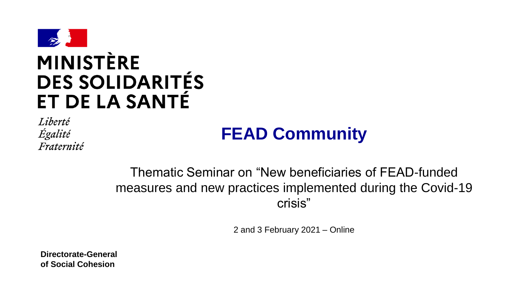

# **MINISTÈRE DES SOLIDARITÉS** ET DE LA SANTÉ

Liberté Égalité Fraternité

## **FEAD Community**

Thematic Seminar on "New beneficiaries of FEAD-funded measures and new practices implemented during the Covid-19 crisis"

2 and 3 February 2021 – Online

**Directorate-General of Social Cohesion**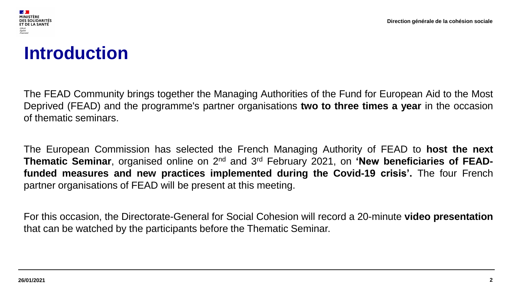



## **Introduction**

The FEAD Community brings together the Managing Authorities of the Fund for European Aid to the Most Deprived (FEAD) and the programme's partner organisations **two to three times a year** in the occasion of thematic seminars.

The European Commission has selected the French Managing Authority of FEAD to **host the next Thematic Seminar**, organised online on 2<sup>nd</sup> and 3<sup>rd</sup> February 2021, on **'New beneficiaries of FEADfunded measures and new practices implemented during the Covid-19 crisis'.** The four French partner organisations of FEAD will be present at this meeting.

For this occasion, the Directorate-General for Social Cohesion will record a 20-minute **video presentation** that can be watched by the participants before the Thematic Seminar.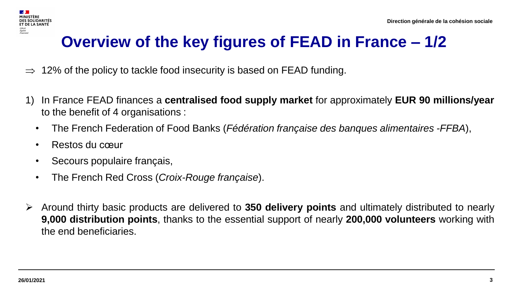## **Overview of the key figures of FEAD in France – 1/2**

- 12% of the policy to tackle food insecurity is based on FEAD funding.
- 1) In France FEAD finances a **centralised food supply market** for approximately **EUR 90 millions/year** to the benefit of 4 organisations :
	- The French Federation of Food Banks (*Fédération française des banques alimentaires -FFBA*),
	- Restos du cœur
	- Secours populaire français,
	- The French Red Cross (*Croix-Rouge française*).
- ➢ Around thirty basic products are delivered to **350 delivery points** and ultimately distributed to nearly **9,000 distribution points**, thanks to the essential support of nearly **200,000 volunteers** working with the end beneficiaries.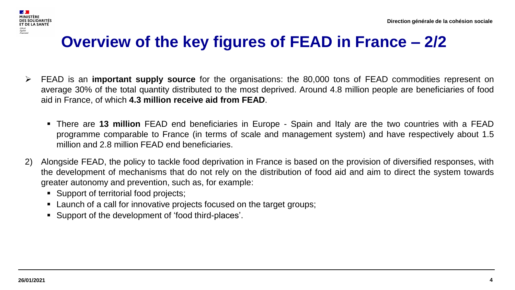#### **SALE ET DE LA SANTÉ** .<br>Egalité<br>Fraternité

## **Overview of the key figures of FEAD in France – 2/2**

- ➢ FEAD is an **important supply source** for the organisations: the 80,000 tons of FEAD commodities represent on average 30% of the total quantity distributed to the most deprived. Around 4.8 million people are beneficiaries of food aid in France, of which **4.3 million receive aid from FEAD**.
	- There are **13 million** FEAD end beneficiaries in Europe Spain and Italy are the two countries with a FEAD programme comparable to France (in terms of scale and management system) and have respectively about 1.5 million and 2.8 million FEAD end beneficiaries.
- 2) Alongside FEAD, the policy to tackle food deprivation in France is based on the provision of diversified responses, with the development of mechanisms that do not rely on the distribution of food aid and aim to direct the system towards greater autonomy and prevention, such as, for example:
	- Support of territorial food projects;
	- Launch of a call for innovative projects focused on the target groups;
	- Support of the development of 'food third-places'.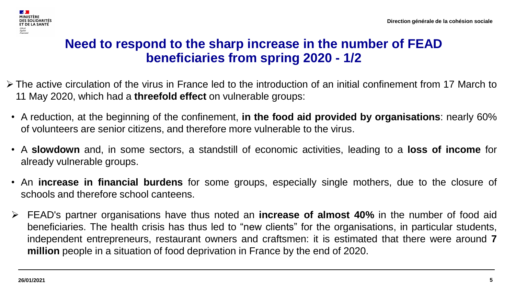

## **Need to respond to the sharp increase in the number of FEAD beneficiaries from spring 2020 - 1/2**

- ➢ The active circulation of the virus in France led to the introduction of an initial confinement from 17 March to 11 May 2020, which had a **threefold effect** on vulnerable groups:
- A reduction, at the beginning of the confinement, **in the food aid provided by organisations**: nearly 60% of volunteers are senior citizens, and therefore more vulnerable to the virus.
- A **slowdown** and, in some sectors, a standstill of economic activities, leading to a **loss of income** for already vulnerable groups.
- An **increase in financial burdens** for some groups, especially single mothers, due to the closure of schools and therefore school canteens.
- ➢ FEAD's partner organisations have thus noted an **increase of almost 40%** in the number of food aid beneficiaries. The health crisis has thus led to "new clients" for the organisations, in particular students, independent entrepreneurs, restaurant owners and craftsmen: it is estimated that there were around **7 million** people in a situation of food deprivation in France by the end of 2020.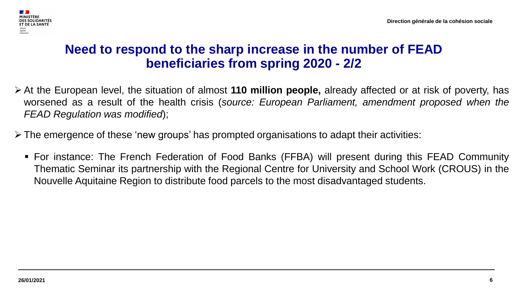

## **Need to respond to the sharp increase in the number of FEAD beneficiaries from spring 2020 - 2/2**

- ➢ At the European level, the situation of almost **110 million people,** already affected or at risk of poverty, has worsened as a result of the health crisis (*source: European Parliament, amendment proposed when the FEAD Regulation was modified*);
- ➢ The emergence of these 'new groups' has prompted organisations to adapt their activities:
	- For instance: The French Federation of Food Banks (FFBA) will present during this FEAD Community Thematic Seminar its partnership with the Regional Centre for University and School Work (CROUS) in the Nouvelle Aquitaine Region to distribute food parcels to the most disadvantaged students.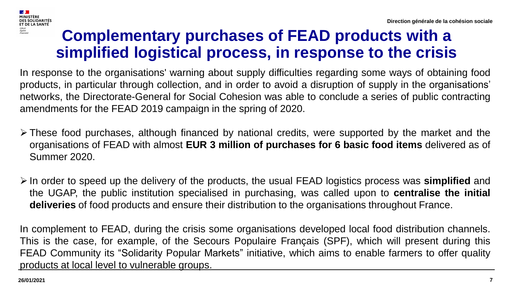

## **Complementary purchases of FEAD products with a simplified logistical process, in response to the crisis**

In response to the organisations' warning about supply difficulties regarding some ways of obtaining food products, in particular through collection, and in order to avoid a disruption of supply in the organisations' networks, the Directorate-General for Social Cohesion was able to conclude a series of public contracting amendments for the FEAD 2019 campaign in the spring of 2020.

- ➢ These food purchases, although financed by national credits, were supported by the market and the organisations of FEAD with almost **EUR 3 million of purchases for 6 basic food items** delivered as of Summer 2020.
- ➢ In order to speed up the delivery of the products, the usual FEAD logistics process was **simplified** and the UGAP, the public institution specialised in purchasing, was called upon to **centralise the initial deliveries** of food products and ensure their distribution to the organisations throughout France.

In complement to FEAD, during the crisis some organisations developed local food distribution channels. This is the case, for example, of the Secours Populaire Français (SPF), which will present during this FEAD Community its "Solidarity Popular Markets" initiative, which aims to enable farmers to offer quality products at local level to vulnerable groups.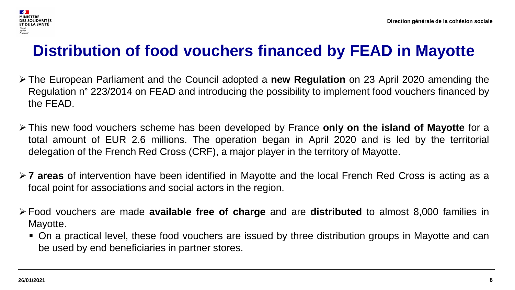

## **Distribution of food vouchers financed by FEAD in Mayotte**

- ➢ The European Parliament and the Council adopted a **new Regulation** on 23 April 2020 amending the Regulation n° 223/2014 on FEAD and introducing the possibility to implement food vouchers financed by the FEAD.
- ➢ This new food vouchers scheme has been developed by France **only on the island of Mayotte** for a total amount of EUR 2.6 millions. The operation began in April 2020 and is led by the territorial delegation of the French Red Cross (CRF), a major player in the territory of Mayotte.
- ➢ **7 areas** of intervention have been identified in Mayotte and the local French Red Cross is acting as a focal point for associations and social actors in the region.
- ➢ Food vouchers are made **available free of charge** and are **distributed** to almost 8,000 families in Mayotte.
	- On a practical level, these food vouchers are issued by three distribution groups in Mayotte and can be used by end beneficiaries in partner stores.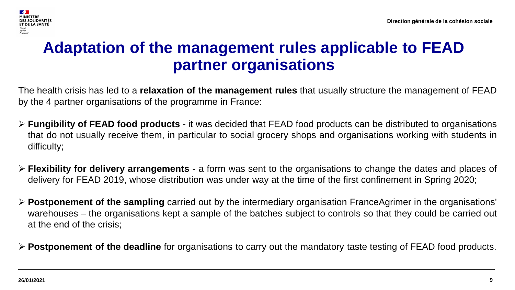

## **Adaptation of the management rules applicable to FEAD partner organisations**

The health crisis has led to a **relaxation of the management rules** that usually structure the management of FEAD by the 4 partner organisations of the programme in France:

- ➢ **Fungibility of FEAD food products** it was decided that FEAD food products can be distributed to organisations that do not usually receive them, in particular to social grocery shops and organisations working with students in difficulty;
- ➢ **Flexibility for delivery arrangements** a form was sent to the organisations to change the dates and places of delivery for FEAD 2019, whose distribution was under way at the time of the first confinement in Spring 2020;
- ➢ **Postponement of the sampling** carried out by the intermediary organisation FranceAgrimer in the organisations' warehouses – the organisations kept a sample of the batches subject to controls so that they could be carried out at the end of the crisis;
- ➢ **Postponement of the deadline** for organisations to carry out the mandatory taste testing of FEAD food products.